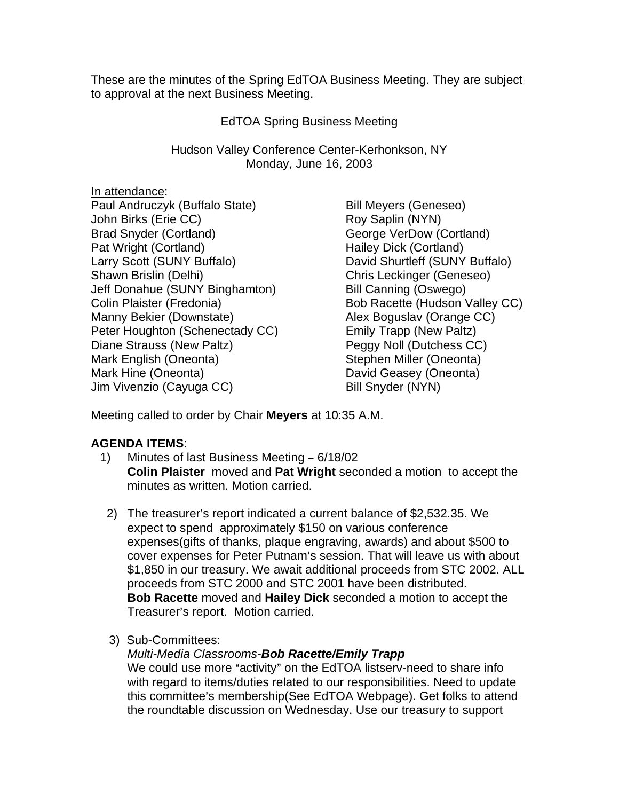These are the minutes of the Spring EdTOA Business Meeting. They are subject to approval at the next Business Meeting.

EdTOA Spring Business Meeting

Hudson Valley Conference Center-Kerhonkson, NY Monday, June 16, 2003

In attendance: Paul Andruczyk (Buffalo State) Bill Meyers (Geneseo) John Birks (Erie CC) Roy Saplin (NYN) Brad Snyder (Cortland) George VerDow (Cortland) Pat Wright (Cortland) Hailey Dick (Cortland) Larry Scott (SUNY Buffalo) David Shurtleff (SUNY Buffalo) Shawn Brislin (Delhi) Chris Leckinger (Geneseo) Jeff Donahue (SUNY Binghamton) Bill Canning (Oswego) Colin Plaister (Fredonia) Colin Plaister (Fredonia) Manny Bekier (Downstate) Manny Bekier (Downstate) Alex Boguslav (Orange CC) Peter Houghton (Schenectady CC) Emily Trapp (New Paltz) Diane Strauss (New Paltz) Peggy Noll (Dutchess CC) Mark English (Oneonta) Stephen Miller (Oneonta) Mark Hine (Oneonta) **David Geasey (Oneontal** Jim Vivenzio (Cayuga CC) Bill Snyder (NYN)

Meeting called to order by Chair **Meyers** at 10:35 A.M.

# **AGENDA ITEMS**:

- 1) Minutes of last Business Meeting  $-6/18/02$ **Colin Plaister** moved and **Pat Wright** seconded a motion to accept the minutes as written. Motion carried.
- 2) The treasurer's report indicated a current balance of  $$2,532.35$ . We expect to spend approximately \$150 on various conference expenses(gifts of thanks, plaque engraving, awards) and about \$500 to cover expenses for Peter Putnam's session. That will leave us with about \$1,850 in our treasury. We await additional proceeds from STC 2002. ALL proceeds from STC 2000 and STC 2001 have been distributed. **Bob Racette** moved and **Hailey Dick** seconded a motion to accept the Treasurer's report. Motion carried.
- 3) Sub-Committees:

 *Multi-Media Classrooms-Bob Racette/Emily Trapp* We could use more "activity" on the EdTOA listserv-need to share info with regard to items/duties related to our responsibilities. Need to update this committee's membership(See EdTOA Webpage). Get folks to attend the roundtable discussion on Wednesday. Use our treasury to support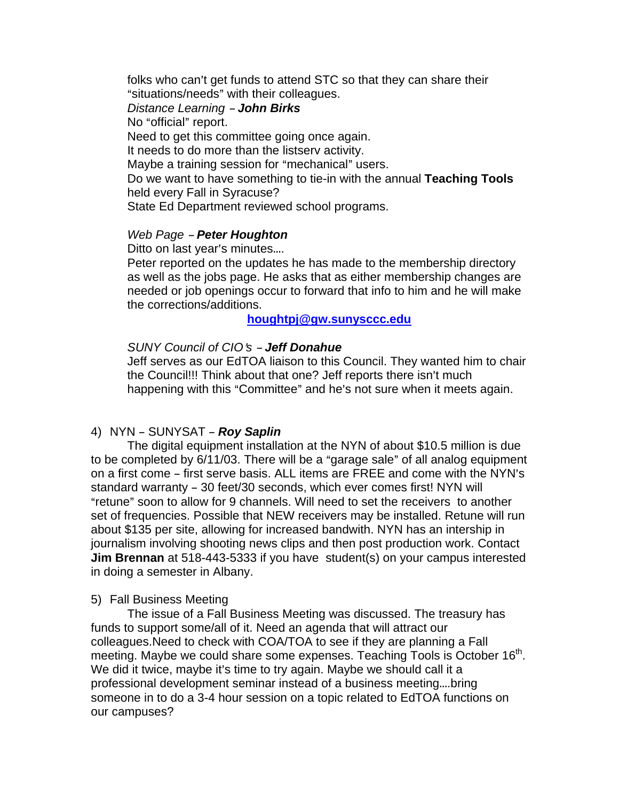folks who can't get funds to attend STC so that they can share their "situations/needs" with their colleagues.

*Distance Learning - John Birks* No "official" report. Need to get this committee going once again. It needs to do more than the listserv activity. Maybe a training session for "mechanical" users. Do we want to have something to tie-in with the annual **Teaching Tools** held every Fall in Syracuse? State Ed Department reviewed school programs.

#### *Web Page - Peter Houghton*

Ditto on last year's minutes....

Peter reported on the updates he has made to the membership directory as well as the jobs page. He asks that as either membership changes are needed or job openings occur to forward that info to him and he will make the corrections/additions.

#### **houghtpj@gw.sunysccc.edu**

# *SUNY Council of CIO*'s - *Jeff Donahue*

Jeff serves as our EdTOA liaison to this Council. They wanted him to chair the Council!!! Think about that one? Jeff reports there isn't much happening with this "Committee" and he's not sure when it meets again.

## 4) NYN - SUNYSAT - **Roy Saplin**

 The digital equipment installation at the NYN of about \$10.5 million is due to be completed by 6/11/03. There will be a "garage sale" of all analog equipment on a first come – first serve basis. ALL items are FREE and come with the NYN's standard warranty - 30 feet/30 seconds, which ever comes first! NYN will "retune" soon to allow for 9 channels. Will need to set the receivers to another set of frequencies. Possible that NEW receivers may be installed. Retune will run about \$135 per site, allowing for increased bandwith. NYN has an intership in journalism involving shooting news clips and then post production work. Contact **Jim Brennan** at 518-443-5333 if you have student(s) on your campus interested in doing a semester in Albany.

#### 5) Fall Business Meeting

 The issue of a Fall Business Meeting was discussed. The treasury has funds to support some/all of it. Need an agenda that will attract our colleagues.Need to check with COA/TOA to see if they are planning a Fall meeting. Maybe we could share some expenses. Teaching Tools is October 16<sup>th</sup>. We did it twice, maybe it's time to try again. Maybe we should call it a professional development seminar instead of a business meeting....bring someone in to do a 3-4 hour session on a topic related to EdTOA functions on our campuses?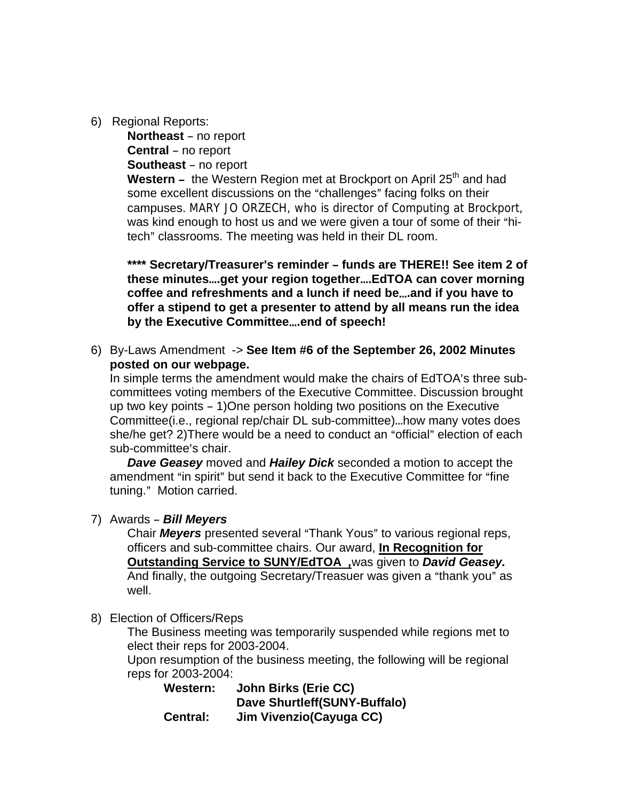6) Regional Reports:

**Northeast** - no report **Central** - no report **Southeast** – no report **Western -** the Western Region met at Brockport on April 25<sup>th</sup> and had some excellent discussions on the "challenges" facing folks on their campuses. MARY JO ORZECH, who is director of Computing at Brockport, was kind enough to host us and we were given a tour of some of their "hitech" classrooms. The meeting was held in their DL room.

\*\*\*\* Secretary/Treasurer's reminder - funds are THERE!! See item 2 of **these minutes**Y**.get your region together**Y**.EdTOA can cover morning coffee and refreshments and a lunch if need be**Y**.and if you have to offer a stipend to get a presenter to attend by all means run the idea**  by the Executive Committee....end of speech!

6) By-Laws Amendment -> **See Item #6 of the September 26, 2002 Minutes posted on our webpage.** 

In simple terms the amendment would make the chairs of EdTOA's three subcommittees voting members of the Executive Committee. Discussion brought up two key points  $-1$ )One person holding two positions on the Executive Committee(i.e., regional rep/chair DL sub-committee)...how many votes does she/he get? 2) There would be a need to conduct an "official" election of each sub-committee's chair.

*Dave Geasey* moved and *Hailey Dick* seconded a motion to accept the amendment "in spirit" but send it back to the Executive Committee for "fine tuning." Motion carried.

7) Awards - **Bill Meyers** 

Chair **Meyers** presented several "Thank Yous" to various regional reps, officers and sub-committee chairs. Our award, **In Recognition for Outstanding Service to SUNY/EdTOA** *,*was given to *David Geasey.* And finally, the outgoing Secretary/Treasuer was given a "thank you" as well.

8) Election of Officers/Reps

The Business meeting was temporarily suspended while regions met to elect their reps for 2003-2004.

Upon resumption of the business meeting, the following will be regional reps for 2003-2004:

| Western:        | John Birks (Erie CC)           |
|-----------------|--------------------------------|
|                 | Dave Shurtleff(SUNY-Buffalo)   |
| <b>Central:</b> | <b>Jim Vivenzio(Cayuga CC)</b> |